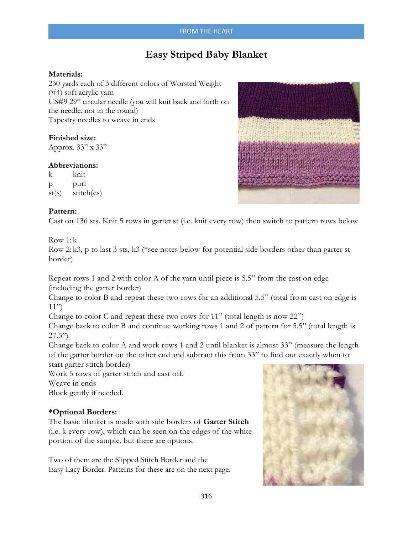# **Easy Striped Baby Blanket**

## **Materials:**

230 yards each of 3 different colors of Worsted Weight (#4) soft acrylic yarn US#9 29" circular needle (you will knit back and forth on the needle, not in the round) Tapestry needles to weave in ends

# **Finished size:**

Approx. 33" x 33"

#### **Abbreviations:**

k knit p purl st(s) stitch(es)

### **Pattern:**

Cast on 136 sts. Knit 5 rows in garter st (i.e. knit every row) then switch to pattern rows below

### $Row 1:k$

Row 2: k3, p to last 3 sts, k3 (\*see notes below for potential side borders other than garter st border)

Repeat rows 1 and 2 with color A of the yarn until piece is 5.5" from the cast on edge (including the garter border)

Change to color B and repeat these two rows for an additional 5.5" (total from cast on edge is  $11"$ 

Change to color C and repeat these two rows for 11" (total length is now 22")

Change back to color B and continue working rows 1 and 2 of pattern for 5.5" (total length is  $27.5"$ 

Change back to color A and work rows 1 and 2 until blanket is almost 33" (measure the length of the garter border on the other end and subtract this from 33" to find out exactly when to start garter stitch border)

Work 5 rows of garter stitch and cast off.

Weave in ends

Block gently if needed.

# **\*Optional Borders:**

The basic blanket is made with side borders of **Garter Stitch**  (i.e. k every row), which can be seen on the edges of the white portion of the sample, but there are options.

Two of them are the Slipped Stitch Border and the Easy Lacy Border. Patterns for these are on the next page.